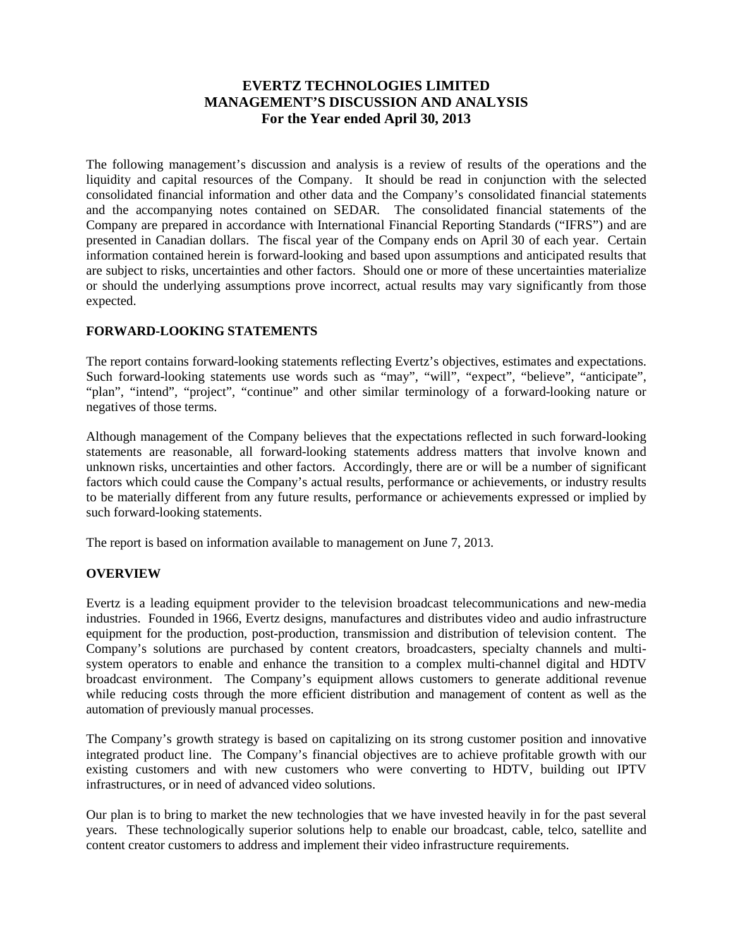# **EVERTZ TECHNOLOGIES LIMITED MANAGEMENT'S DISCUSSION AND ANALYSIS For the Year ended April 30, 2013**

The following management's discussion and analysis is a review of results of the operations and the liquidity and capital resources of the Company. It should be read in conjunction with the selected consolidated financial information and other data and the Company's consolidated financial statements and the accompanying notes contained on SEDAR. The consolidated financial statements of the Company are prepared in accordance with International Financial Reporting Standards ("IFRS") and are presented in Canadian dollars. The fiscal year of the Company ends on April 30 of each year. Certain information contained herein is forward-looking and based upon assumptions and anticipated results that are subject to risks, uncertainties and other factors. Should one or more of these uncertainties materialize or should the underlying assumptions prove incorrect, actual results may vary significantly from those expected.

# **FORWARD-LOOKING STATEMENTS**

The report contains forward-looking statements reflecting Evertz's objectives, estimates and expectations. Such forward-looking statements use words such as "may", "will", "expect", "believe", "anticipate", "plan", "intend", "project", "continue" and other similar terminology of a forward-looking nature or negatives of those terms.

Although management of the Company believes that the expectations reflected in such forward-looking statements are reasonable, all forward-looking statements address matters that involve known and unknown risks, uncertainties and other factors. Accordingly, there are or will be a number of significant factors which could cause the Company's actual results, performance or achievements, or industry results to be materially different from any future results, performance or achievements expressed or implied by such forward-looking statements.

The report is based on information available to management on June 7, 2013.

# **OVERVIEW**

Evertz is a leading equipment provider to the television broadcast telecommunications and new-media industries. Founded in 1966, Evertz designs, manufactures and distributes video and audio infrastructure equipment for the production, post-production, transmission and distribution of television content. The Company's solutions are purchased by content creators, broadcasters, specialty channels and multisystem operators to enable and enhance the transition to a complex multi-channel digital and HDTV broadcast environment. The Company's equipment allows customers to generate additional revenue while reducing costs through the more efficient distribution and management of content as well as the automation of previously manual processes.

The Company's growth strategy is based on capitalizing on its strong customer position and innovative integrated product line. The Company's financial objectives are to achieve profitable growth with our existing customers and with new customers who were converting to HDTV, building out IPTV infrastructures, or in need of advanced video solutions.

Our plan is to bring to market the new technologies that we have invested heavily in for the past several years. These technologically superior solutions help to enable our broadcast, cable, telco, satellite and content creator customers to address and implement their video infrastructure requirements.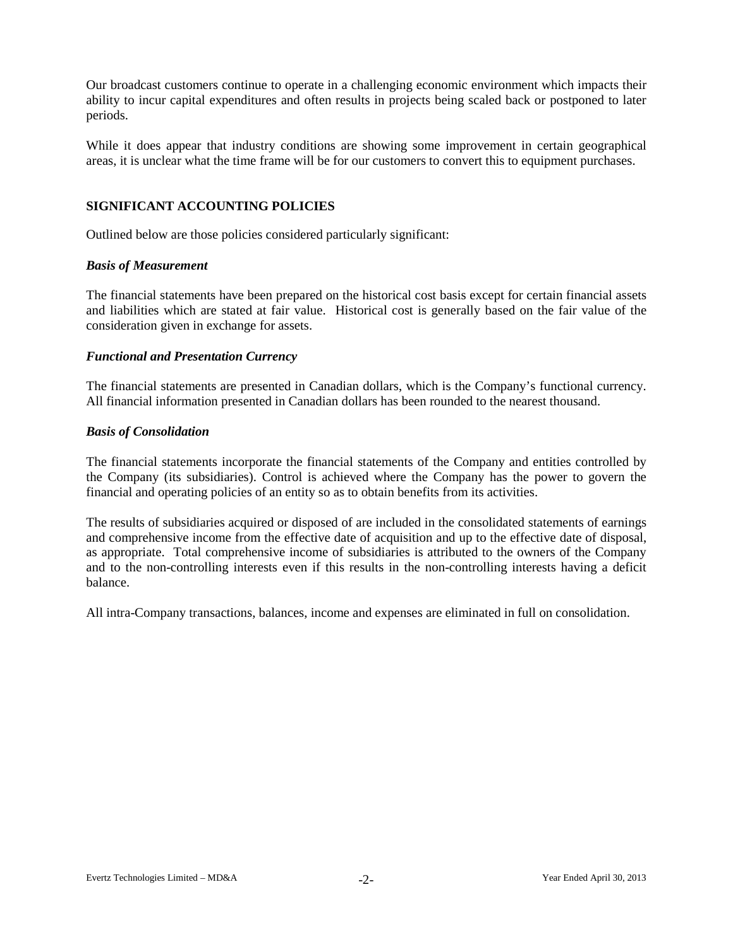Our broadcast customers continue to operate in a challenging economic environment which impacts their ability to incur capital expenditures and often results in projects being scaled back or postponed to later periods.

While it does appear that industry conditions are showing some improvement in certain geographical areas, it is unclear what the time frame will be for our customers to convert this to equipment purchases.

#### **SIGNIFICANT ACCOUNTING POLICIES**

Outlined below are those policies considered particularly significant:

#### *Basis of Measurement*

The financial statements have been prepared on the historical cost basis except for certain financial assets and liabilities which are stated at fair value. Historical cost is generally based on the fair value of the consideration given in exchange for assets.

#### *Functional and Presentation Currency*

The financial statements are presented in Canadian dollars, which is the Company's functional currency. All financial information presented in Canadian dollars has been rounded to the nearest thousand.

#### *Basis of Consolidation*

The financial statements incorporate the financial statements of the Company and entities controlled by the Company (its subsidiaries). Control is achieved where the Company has the power to govern the financial and operating policies of an entity so as to obtain benefits from its activities.

The results of subsidiaries acquired or disposed of are included in the consolidated statements of earnings and comprehensive income from the effective date of acquisition and up to the effective date of disposal, as appropriate. Total comprehensive income of subsidiaries is attributed to the owners of the Company and to the non-controlling interests even if this results in the non-controlling interests having a deficit balance.

All intra-Company transactions, balances, income and expenses are eliminated in full on consolidation.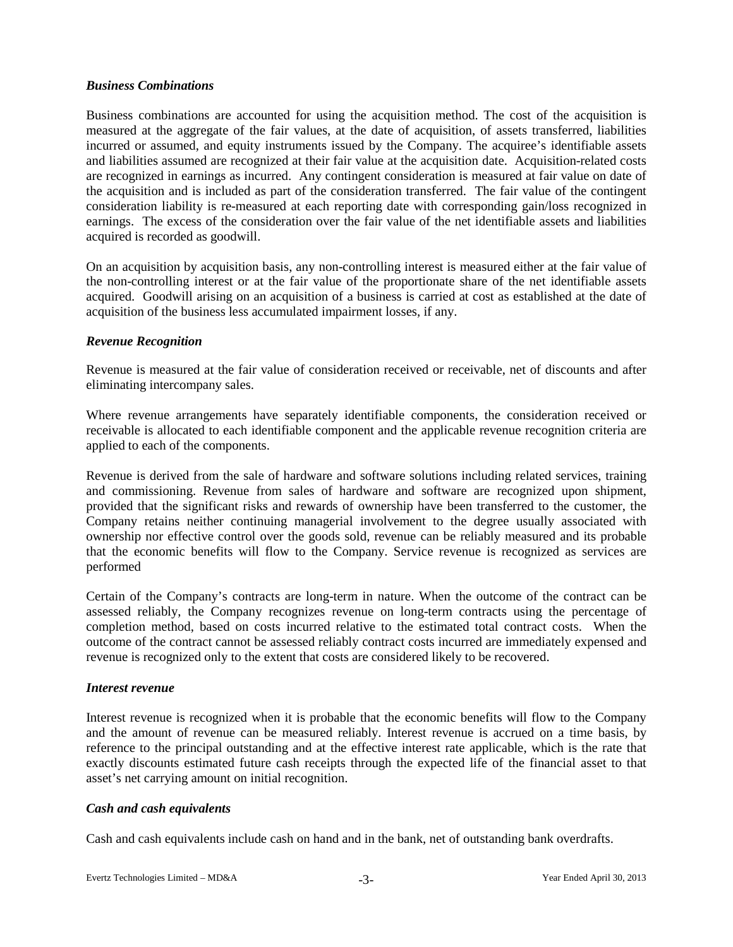## *Business Combinations*

Business combinations are accounted for using the acquisition method. The cost of the acquisition is measured at the aggregate of the fair values, at the date of acquisition, of assets transferred, liabilities incurred or assumed, and equity instruments issued by the Company. The acquiree's identifiable assets and liabilities assumed are recognized at their fair value at the acquisition date. Acquisition-related costs are recognized in earnings as incurred. Any contingent consideration is measured at fair value on date of the acquisition and is included as part of the consideration transferred. The fair value of the contingent consideration liability is re-measured at each reporting date with corresponding gain/loss recognized in earnings. The excess of the consideration over the fair value of the net identifiable assets and liabilities acquired is recorded as goodwill.

On an acquisition by acquisition basis, any non-controlling interest is measured either at the fair value of the non-controlling interest or at the fair value of the proportionate share of the net identifiable assets acquired. Goodwill arising on an acquisition of a business is carried at cost as established at the date of acquisition of the business less accumulated impairment losses, if any.

#### *Revenue Recognition*

Revenue is measured at the fair value of consideration received or receivable, net of discounts and after eliminating intercompany sales.

Where revenue arrangements have separately identifiable components, the consideration received or receivable is allocated to each identifiable component and the applicable revenue recognition criteria are applied to each of the components.

Revenue is derived from the sale of hardware and software solutions including related services, training and commissioning. Revenue from sales of hardware and software are recognized upon shipment, provided that the significant risks and rewards of ownership have been transferred to the customer, the Company retains neither continuing managerial involvement to the degree usually associated with ownership nor effective control over the goods sold, revenue can be reliably measured and its probable that the economic benefits will flow to the Company. Service revenue is recognized as services are performed

Certain of the Company's contracts are long-term in nature. When the outcome of the contract can be assessed reliably, the Company recognizes revenue on long-term contracts using the percentage of completion method, based on costs incurred relative to the estimated total contract costs. When the outcome of the contract cannot be assessed reliably contract costs incurred are immediately expensed and revenue is recognized only to the extent that costs are considered likely to be recovered.

# *Interest revenue*

Interest revenue is recognized when it is probable that the economic benefits will flow to the Company and the amount of revenue can be measured reliably. Interest revenue is accrued on a time basis, by reference to the principal outstanding and at the effective interest rate applicable, which is the rate that exactly discounts estimated future cash receipts through the expected life of the financial asset to that asset's net carrying amount on initial recognition.

# *Cash and cash equivalents*

Cash and cash equivalents include cash on hand and in the bank, net of outstanding bank overdrafts.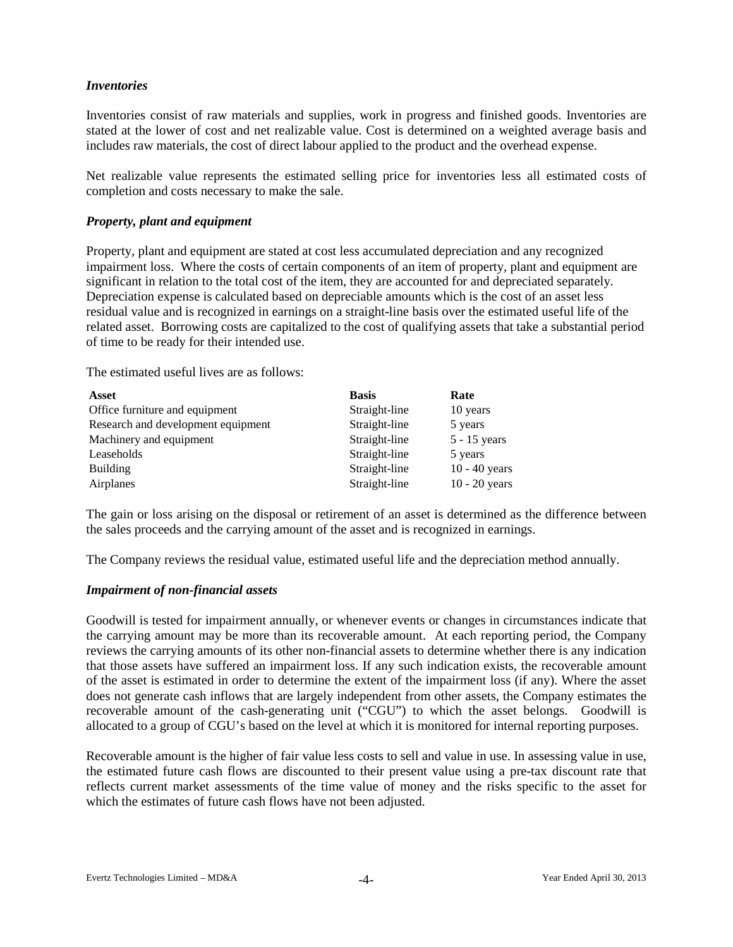# *Inventories*

Inventories consist of raw materials and supplies, work in progress and finished goods. Inventories are stated at the lower of cost and net realizable value. Cost is determined on a weighted average basis and includes raw materials, the cost of direct labour applied to the product and the overhead expense.

Net realizable value represents the estimated selling price for inventories less all estimated costs of completion and costs necessary to make the sale.

#### *Property, plant and equipment*

Property, plant and equipment are stated at cost less accumulated depreciation and any recognized impairment loss. Where the costs of certain components of an item of property, plant and equipment are significant in relation to the total cost of the item, they are accounted for and depreciated separately. Depreciation expense is calculated based on depreciable amounts which is the cost of an asset less residual value and is recognized in earnings on a straight-line basis over the estimated useful life of the related asset. Borrowing costs are capitalized to the cost of qualifying assets that take a substantial period of time to be ready for their intended use.

The estimated useful lives are as follows:

| <b>Asset</b>                       | <b>Basis</b>  | Rate            |
|------------------------------------|---------------|-----------------|
| Office furniture and equipment     | Straight-line | 10 years        |
| Research and development equipment | Straight-line | 5 years         |
| Machinery and equipment            | Straight-line | $5 - 15$ years  |
| Leaseholds                         | Straight-line | 5 years         |
| <b>Building</b>                    | Straight-line | $10 - 40$ years |
| Airplanes                          | Straight-line | $10 - 20$ years |

The gain or loss arising on the disposal or retirement of an asset is determined as the difference between the sales proceeds and the carrying amount of the asset and is recognized in earnings.

The Company reviews the residual value, estimated useful life and the depreciation method annually.

#### *Impairment of non-financial assets*

Goodwill is tested for impairment annually, or whenever events or changes in circumstances indicate that the carrying amount may be more than its recoverable amount. At each reporting period, the Company reviews the carrying amounts of its other non-financial assets to determine whether there is any indication that those assets have suffered an impairment loss. If any such indication exists, the recoverable amount of the asset is estimated in order to determine the extent of the impairment loss (if any). Where the asset does not generate cash inflows that are largely independent from other assets, the Company estimates the recoverable amount of the cash-generating unit ("CGU") to which the asset belongs. Goodwill is allocated to a group of CGU's based on the level at which it is monitored for internal reporting purposes.

Recoverable amount is the higher of fair value less costs to sell and value in use. In assessing value in use, the estimated future cash flows are discounted to their present value using a pre-tax discount rate that reflects current market assessments of the time value of money and the risks specific to the asset for which the estimates of future cash flows have not been adjusted.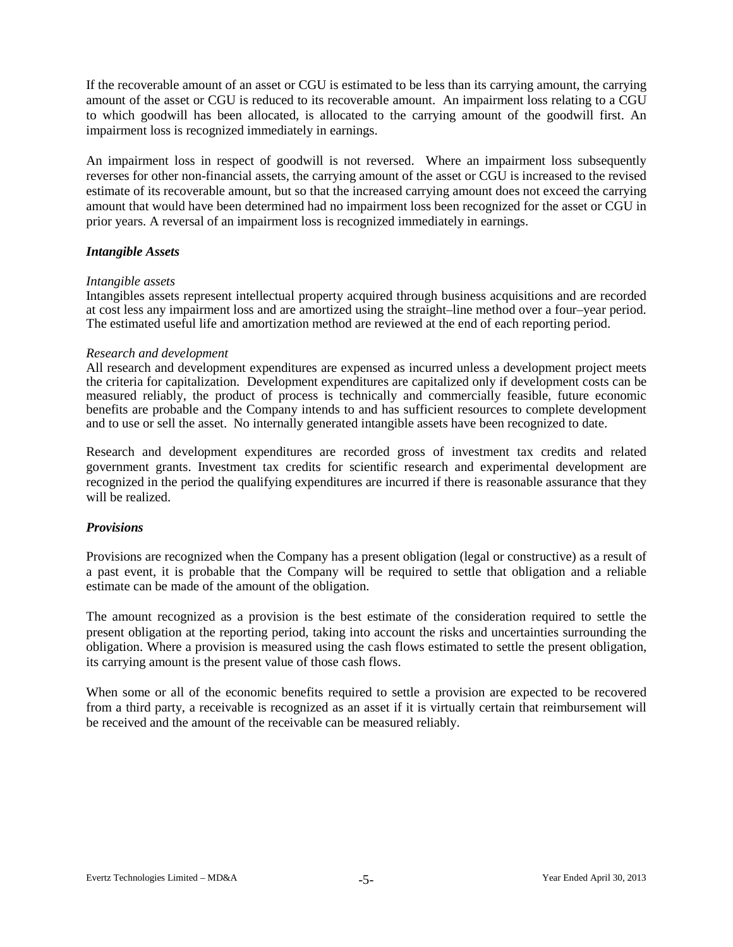If the recoverable amount of an asset or CGU is estimated to be less than its carrying amount, the carrying amount of the asset or CGU is reduced to its recoverable amount. An impairment loss relating to a CGU to which goodwill has been allocated, is allocated to the carrying amount of the goodwill first. An impairment loss is recognized immediately in earnings.

An impairment loss in respect of goodwill is not reversed. Where an impairment loss subsequently reverses for other non-financial assets, the carrying amount of the asset or CGU is increased to the revised estimate of its recoverable amount, but so that the increased carrying amount does not exceed the carrying amount that would have been determined had no impairment loss been recognized for the asset or CGU in prior years. A reversal of an impairment loss is recognized immediately in earnings.

#### *Intangible Assets*

#### *Intangible assets*

Intangibles assets represent intellectual property acquired through business acquisitions and are recorded at cost less any impairment loss and are amortized using the straight–line method over a four–year period. The estimated useful life and amortization method are reviewed at the end of each reporting period.

#### *Research and development*

All research and development expenditures are expensed as incurred unless a development project meets the criteria for capitalization. Development expenditures are capitalized only if development costs can be measured reliably, the product of process is technically and commercially feasible, future economic benefits are probable and the Company intends to and has sufficient resources to complete development and to use or sell the asset. No internally generated intangible assets have been recognized to date.

Research and development expenditures are recorded gross of investment tax credits and related government grants. Investment tax credits for scientific research and experimental development are recognized in the period the qualifying expenditures are incurred if there is reasonable assurance that they will be realized.

# *Provisions*

Provisions are recognized when the Company has a present obligation (legal or constructive) as a result of a past event, it is probable that the Company will be required to settle that obligation and a reliable estimate can be made of the amount of the obligation.

The amount recognized as a provision is the best estimate of the consideration required to settle the present obligation at the reporting period, taking into account the risks and uncertainties surrounding the obligation. Where a provision is measured using the cash flows estimated to settle the present obligation, its carrying amount is the present value of those cash flows.

When some or all of the economic benefits required to settle a provision are expected to be recovered from a third party, a receivable is recognized as an asset if it is virtually certain that reimbursement will be received and the amount of the receivable can be measured reliably.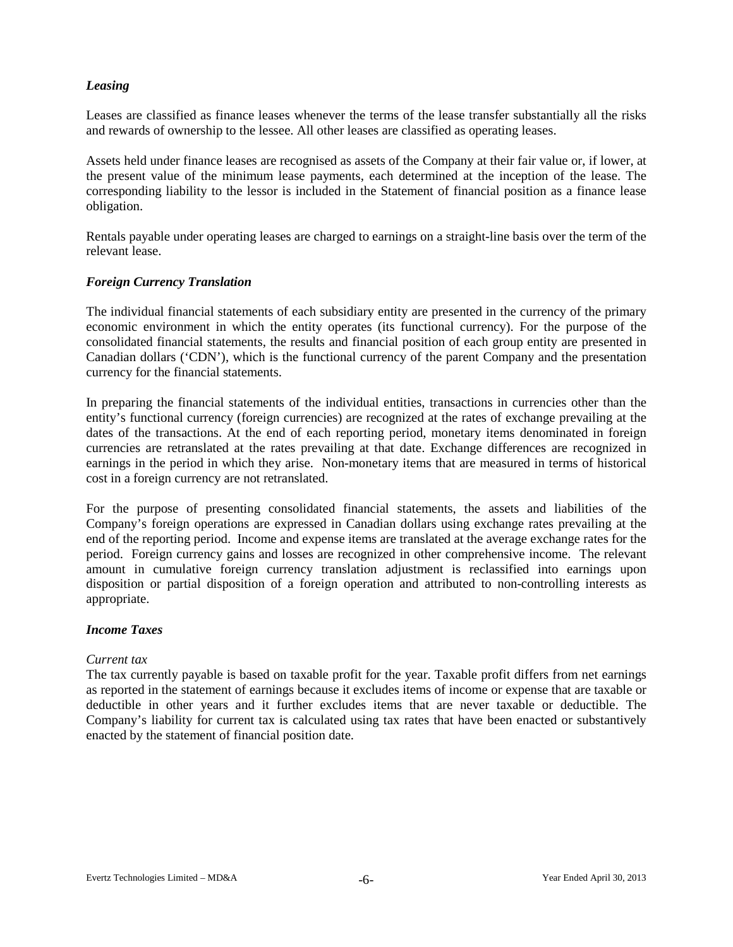# *Leasing*

Leases are classified as finance leases whenever the terms of the lease transfer substantially all the risks and rewards of ownership to the lessee. All other leases are classified as operating leases.

Assets held under finance leases are recognised as assets of the Company at their fair value or, if lower, at the present value of the minimum lease payments, each determined at the inception of the lease. The corresponding liability to the lessor is included in the Statement of financial position as a finance lease obligation.

Rentals payable under operating leases are charged to earnings on a straight-line basis over the term of the relevant lease.

#### *Foreign Currency Translation*

The individual financial statements of each subsidiary entity are presented in the currency of the primary economic environment in which the entity operates (its functional currency). For the purpose of the consolidated financial statements, the results and financial position of each group entity are presented in Canadian dollars ('CDN'), which is the functional currency of the parent Company and the presentation currency for the financial statements.

In preparing the financial statements of the individual entities, transactions in currencies other than the entity's functional currency (foreign currencies) are recognized at the rates of exchange prevailing at the dates of the transactions. At the end of each reporting period, monetary items denominated in foreign currencies are retranslated at the rates prevailing at that date. Exchange differences are recognized in earnings in the period in which they arise. Non-monetary items that are measured in terms of historical cost in a foreign currency are not retranslated.

For the purpose of presenting consolidated financial statements, the assets and liabilities of the Company's foreign operations are expressed in Canadian dollars using exchange rates prevailing at the end of the reporting period. Income and expense items are translated at the average exchange rates for the period. Foreign currency gains and losses are recognized in other comprehensive income. The relevant amount in cumulative foreign currency translation adjustment is reclassified into earnings upon disposition or partial disposition of a foreign operation and attributed to non-controlling interests as appropriate.

#### *Income Taxes*

#### *Current tax*

The tax currently payable is based on taxable profit for the year. Taxable profit differs from net earnings as reported in the statement of earnings because it excludes items of income or expense that are taxable or deductible in other years and it further excludes items that are never taxable or deductible. The Company's liability for current tax is calculated using tax rates that have been enacted or substantively enacted by the statement of financial position date.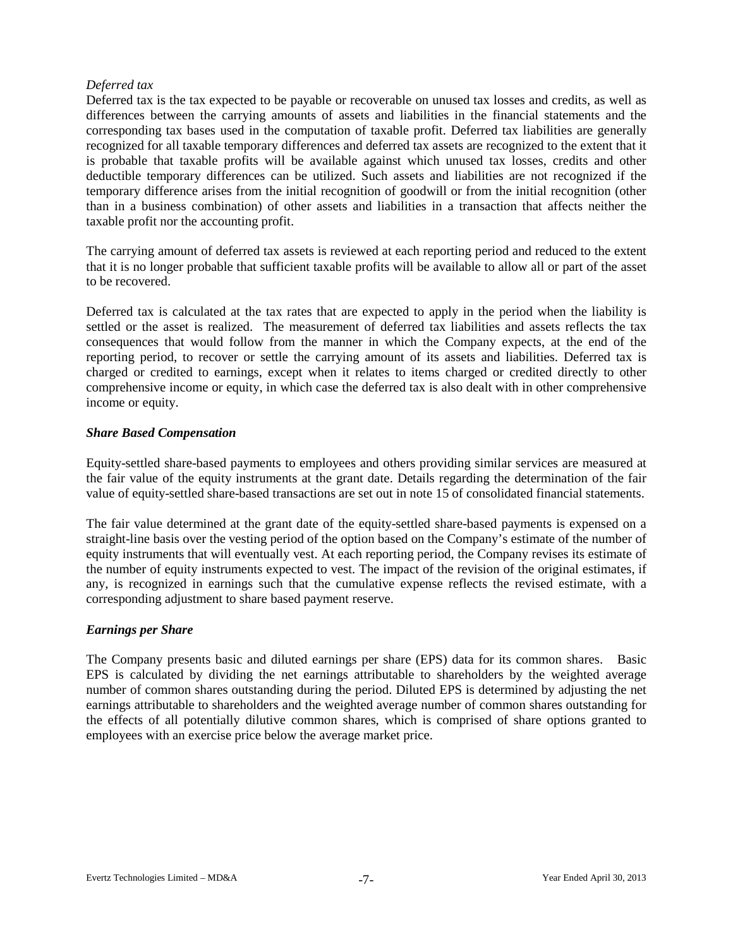#### *Deferred tax*

Deferred tax is the tax expected to be payable or recoverable on unused tax losses and credits, as well as differences between the carrying amounts of assets and liabilities in the financial statements and the corresponding tax bases used in the computation of taxable profit. Deferred tax liabilities are generally recognized for all taxable temporary differences and deferred tax assets are recognized to the extent that it is probable that taxable profits will be available against which unused tax losses, credits and other deductible temporary differences can be utilized. Such assets and liabilities are not recognized if the temporary difference arises from the initial recognition of goodwill or from the initial recognition (other than in a business combination) of other assets and liabilities in a transaction that affects neither the taxable profit nor the accounting profit.

The carrying amount of deferred tax assets is reviewed at each reporting period and reduced to the extent that it is no longer probable that sufficient taxable profits will be available to allow all or part of the asset to be recovered.

Deferred tax is calculated at the tax rates that are expected to apply in the period when the liability is settled or the asset is realized. The measurement of deferred tax liabilities and assets reflects the tax consequences that would follow from the manner in which the Company expects, at the end of the reporting period, to recover or settle the carrying amount of its assets and liabilities. Deferred tax is charged or credited to earnings, except when it relates to items charged or credited directly to other comprehensive income or equity, in which case the deferred tax is also dealt with in other comprehensive income or equity.

# *Share Based Compensation*

Equity-settled share-based payments to employees and others providing similar services are measured at the fair value of the equity instruments at the grant date. Details regarding the determination of the fair value of equity-settled share-based transactions are set out in note 15 of consolidated financial statements.

The fair value determined at the grant date of the equity-settled share-based payments is expensed on a straight-line basis over the vesting period of the option based on the Company's estimate of the number of equity instruments that will eventually vest. At each reporting period, the Company revises its estimate of the number of equity instruments expected to vest. The impact of the revision of the original estimates, if any, is recognized in earnings such that the cumulative expense reflects the revised estimate, with a corresponding adjustment to share based payment reserve.

# *Earnings per Share*

The Company presents basic and diluted earnings per share (EPS) data for its common shares. Basic EPS is calculated by dividing the net earnings attributable to shareholders by the weighted average number of common shares outstanding during the period. Diluted EPS is determined by adjusting the net earnings attributable to shareholders and the weighted average number of common shares outstanding for the effects of all potentially dilutive common shares, which is comprised of share options granted to employees with an exercise price below the average market price.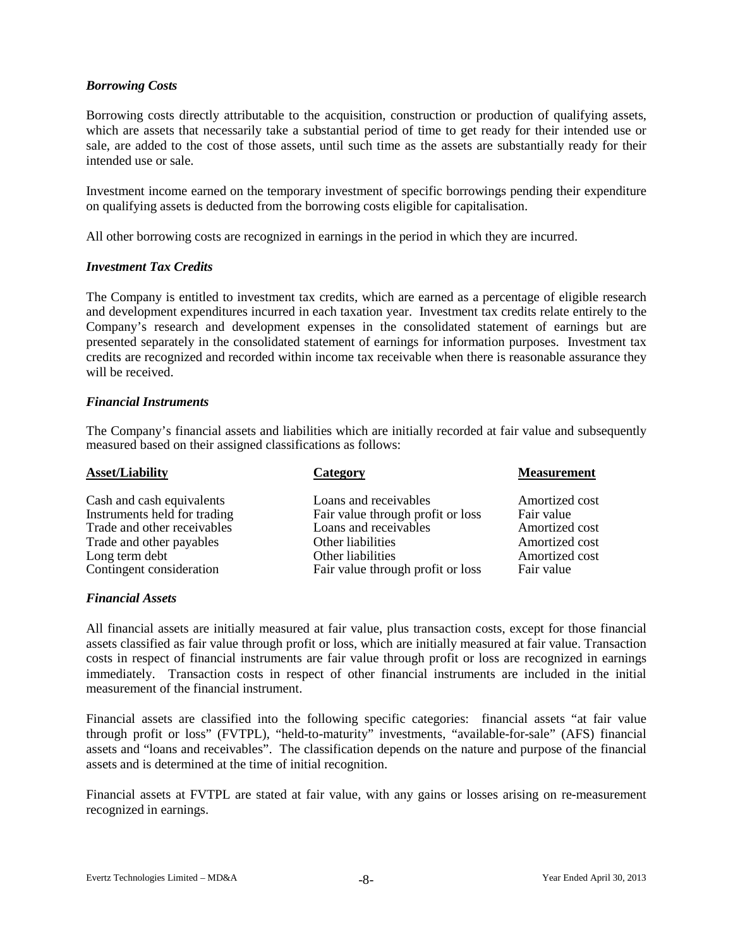# *Borrowing Costs*

Borrowing costs directly attributable to the acquisition, construction or production of qualifying assets, which are assets that necessarily take a substantial period of time to get ready for their intended use or sale, are added to the cost of those assets, until such time as the assets are substantially ready for their intended use or sale.

Investment income earned on the temporary investment of specific borrowings pending their expenditure on qualifying assets is deducted from the borrowing costs eligible for capitalisation.

All other borrowing costs are recognized in earnings in the period in which they are incurred.

#### *Investment Tax Credits*

The Company is entitled to investment tax credits, which are earned as a percentage of eligible research and development expenditures incurred in each taxation year. Investment tax credits relate entirely to the Company's research and development expenses in the consolidated statement of earnings but are presented separately in the consolidated statement of earnings for information purposes. Investment tax credits are recognized and recorded within income tax receivable when there is reasonable assurance they will be received.

#### *Financial Instruments*

The Company's financial assets and liabilities which are initially recorded at fair value and subsequently measured based on their assigned classifications as follows:

| <b>Asset/Liability</b>       | Category                          | <b>Measurement</b> |
|------------------------------|-----------------------------------|--------------------|
| Cash and cash equivalents    | Loans and receivables             | Amortized cost     |
| Instruments held for trading | Fair value through profit or loss | Fair value         |
| Trade and other receivables  | Loans and receivables             | Amortized cost     |
| Trade and other payables     | Other liabilities                 | Amortized cost     |
| Long term debt               | Other liabilities                 | Amortized cost     |
| Contingent consideration     | Fair value through profit or loss | Fair value         |

# *Financial Assets*

All financial assets are initially measured at fair value, plus transaction costs, except for those financial assets classified as fair value through profit or loss, which are initially measured at fair value. Transaction costs in respect of financial instruments are fair value through profit or loss are recognized in earnings immediately. Transaction costs in respect of other financial instruments are included in the initial measurement of the financial instrument.

Financial assets are classified into the following specific categories: financial assets "at fair value through profit or loss" (FVTPL), "held-to-maturity" investments, "available-for-sale" (AFS) financial assets and "loans and receivables". The classification depends on the nature and purpose of the financial assets and is determined at the time of initial recognition.

Financial assets at FVTPL are stated at fair value, with any gains or losses arising on re-measurement recognized in earnings.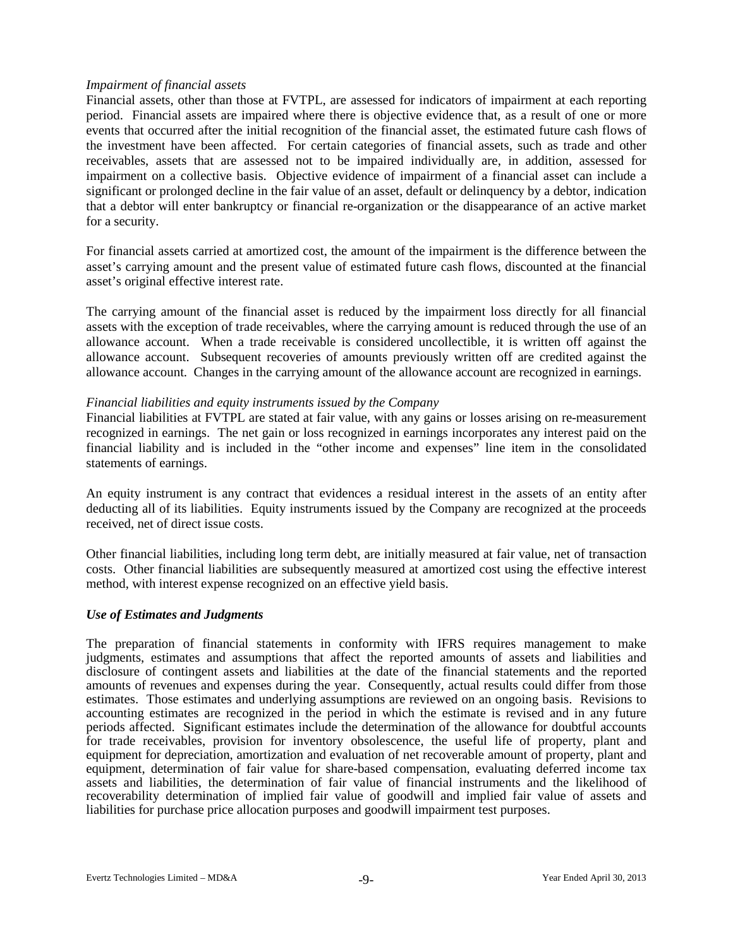#### *Impairment of financial assets*

Financial assets, other than those at FVTPL, are assessed for indicators of impairment at each reporting period. Financial assets are impaired where there is objective evidence that, as a result of one or more events that occurred after the initial recognition of the financial asset, the estimated future cash flows of the investment have been affected. For certain categories of financial assets, such as trade and other receivables, assets that are assessed not to be impaired individually are, in addition, assessed for impairment on a collective basis. Objective evidence of impairment of a financial asset can include a significant or prolonged decline in the fair value of an asset, default or delinquency by a debtor, indication that a debtor will enter bankruptcy or financial re-organization or the disappearance of an active market for a security.

For financial assets carried at amortized cost, the amount of the impairment is the difference between the asset's carrying amount and the present value of estimated future cash flows, discounted at the financial asset's original effective interest rate.

The carrying amount of the financial asset is reduced by the impairment loss directly for all financial assets with the exception of trade receivables, where the carrying amount is reduced through the use of an allowance account. When a trade receivable is considered uncollectible, it is written off against the allowance account. Subsequent recoveries of amounts previously written off are credited against the allowance account. Changes in the carrying amount of the allowance account are recognized in earnings.

#### *Financial liabilities and equity instruments issued by the Company*

Financial liabilities at FVTPL are stated at fair value, with any gains or losses arising on re-measurement recognized in earnings. The net gain or loss recognized in earnings incorporates any interest paid on the financial liability and is included in the "other income and expenses" line item in the consolidated statements of earnings.

An equity instrument is any contract that evidences a residual interest in the assets of an entity after deducting all of its liabilities. Equity instruments issued by the Company are recognized at the proceeds received, net of direct issue costs.

Other financial liabilities, including long term debt, are initially measured at fair value, net of transaction costs. Other financial liabilities are subsequently measured at amortized cost using the effective interest method, with interest expense recognized on an effective yield basis.

#### *Use of Estimates and Judgments*

The preparation of financial statements in conformity with IFRS requires management to make judgments, estimates and assumptions that affect the reported amounts of assets and liabilities and disclosure of contingent assets and liabilities at the date of the financial statements and the reported amounts of revenues and expenses during the year. Consequently, actual results could differ from those estimates. Those estimates and underlying assumptions are reviewed on an ongoing basis. Revisions to accounting estimates are recognized in the period in which the estimate is revised and in any future periods affected. Significant estimates include the determination of the allowance for doubtful accounts for trade receivables, provision for inventory obsolescence, the useful life of property, plant and equipment for depreciation, amortization and evaluation of net recoverable amount of property, plant and equipment, determination of fair value for share-based compensation, evaluating deferred income tax assets and liabilities, the determination of fair value of financial instruments and the likelihood of recoverability determination of implied fair value of goodwill and implied fair value of assets and liabilities for purchase price allocation purposes and goodwill impairment test purposes.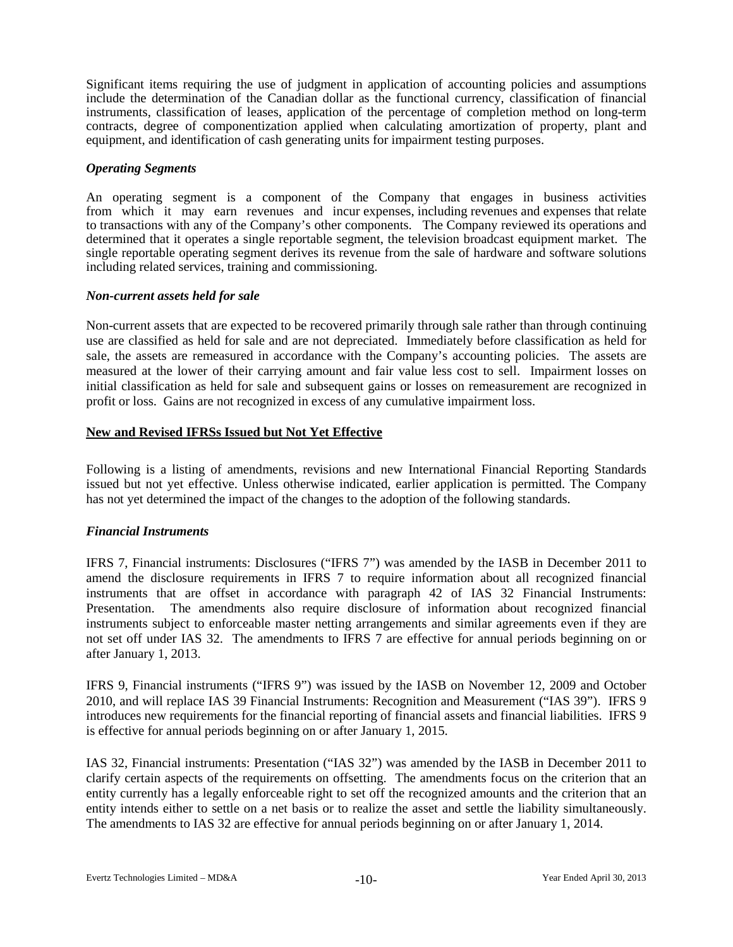Significant items requiring the use of judgment in application of accounting policies and assumptions include the determination of the Canadian dollar as the functional currency, classification of financial instruments, classification of leases, application of the percentage of completion method on long-term contracts, degree of componentization applied when calculating amortization of property, plant and equipment, and identification of cash generating units for impairment testing purposes.

## *Operating Segments*

An operating segment is a component of the Company that engages in business activities from which it may earn revenues and incur expenses, including revenues and expenses that relate to transactions with any of the Company's other components. The Company reviewed its operations and determined that it operates a single reportable segment, the television broadcast equipment market. The single reportable operating segment derives its revenue from the sale of hardware and software solutions including related services, training and commissioning.

#### *Non-current assets held for sale*

Non-current assets that are expected to be recovered primarily through sale rather than through continuing use are classified as held for sale and are not depreciated. Immediately before classification as held for sale, the assets are remeasured in accordance with the Company's accounting policies. The assets are measured at the lower of their carrying amount and fair value less cost to sell. Impairment losses on initial classification as held for sale and subsequent gains or losses on remeasurement are recognized in profit or loss. Gains are not recognized in excess of any cumulative impairment loss.

#### **New and Revised IFRSs Issued but Not Yet Effective**

Following is a listing of amendments, revisions and new International Financial Reporting Standards issued but not yet effective. Unless otherwise indicated, earlier application is permitted. The Company has not yet determined the impact of the changes to the adoption of the following standards.

# *Financial Instruments*

IFRS 7, Financial instruments: Disclosures ("IFRS 7") was amended by the IASB in December 2011 to amend the disclosure requirements in IFRS 7 to require information about all recognized financial instruments that are offset in accordance with paragraph 42 of IAS 32 Financial Instruments: Presentation. The amendments also require disclosure of information about recognized financial instruments subject to enforceable master netting arrangements and similar agreements even if they are not set off under IAS 32. The amendments to IFRS 7 are effective for annual periods beginning on or after January 1, 2013.

IFRS 9, Financial instruments ("IFRS 9") was issued by the IASB on November 12, 2009 and October 2010, and will replace IAS 39 Financial Instruments: Recognition and Measurement ("IAS 39"). IFRS 9 introduces new requirements for the financial reporting of financial assets and financial liabilities. IFRS 9 is effective for annual periods beginning on or after January 1, 2015.

IAS 32, Financial instruments: Presentation ("IAS 32") was amended by the IASB in December 2011 to clarify certain aspects of the requirements on offsetting. The amendments focus on the criterion that an entity currently has a legally enforceable right to set off the recognized amounts and the criterion that an entity intends either to settle on a net basis or to realize the asset and settle the liability simultaneously. The amendments to IAS 32 are effective for annual periods beginning on or after January 1, 2014.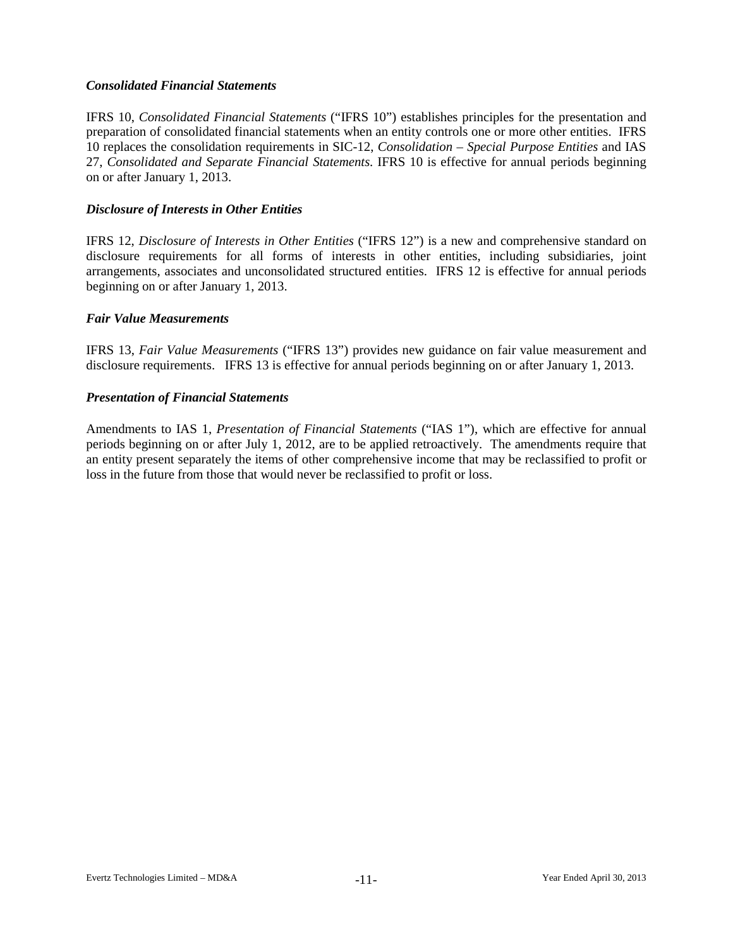## *Consolidated Financial Statements*

IFRS 10, *Consolidated Financial Statements* ("IFRS 10") establishes principles for the presentation and preparation of consolidated financial statements when an entity controls one or more other entities. IFRS 10 replaces the consolidation requirements in SIC-12, *Consolidation – Special Purpose Entities* and IAS 27, *Consolidated and Separate Financial Statements.* IFRS 10 is effective for annual periods beginning on or after January 1, 2013.

## *Disclosure of Interests in Other Entities*

IFRS 12, *Disclosure of Interests in Other Entities* ("IFRS 12") is a new and comprehensive standard on disclosure requirements for all forms of interests in other entities, including subsidiaries, joint arrangements, associates and unconsolidated structured entities. IFRS 12 is effective for annual periods beginning on or after January 1, 2013.

#### *Fair Value Measurements*

IFRS 13, *Fair Value Measurements* ("IFRS 13") provides new guidance on fair value measurement and disclosure requirements. IFRS 13 is effective for annual periods beginning on or after January 1, 2013.

#### *Presentation of Financial Statements*

Amendments to IAS 1, *Presentation of Financial Statements* ("IAS 1"), which are effective for annual periods beginning on or after July 1, 2012, are to be applied retroactively. The amendments require that an entity present separately the items of other comprehensive income that may be reclassified to profit or loss in the future from those that would never be reclassified to profit or loss.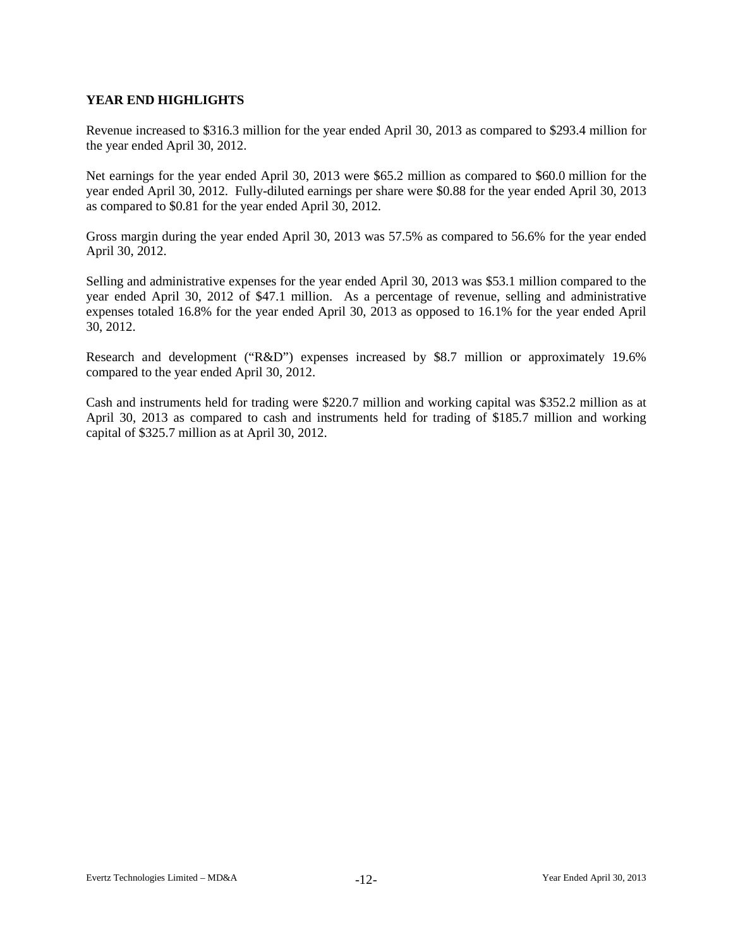# **YEAR END HIGHLIGHTS**

Revenue increased to \$316.3 million for the year ended April 30, 2013 as compared to \$293.4 million for the year ended April 30, 2012.

Net earnings for the year ended April 30, 2013 were \$65.2 million as compared to \$60.0 million for the year ended April 30, 2012. Fully-diluted earnings per share were \$0.88 for the year ended April 30, 2013 as compared to \$0.81 for the year ended April 30, 2012.

Gross margin during the year ended April 30, 2013 was 57.5% as compared to 56.6% for the year ended April 30, 2012.

Selling and administrative expenses for the year ended April 30, 2013 was \$53.1 million compared to the year ended April 30, 2012 of \$47.1 million. As a percentage of revenue, selling and administrative expenses totaled 16.8% for the year ended April 30, 2013 as opposed to 16.1% for the year ended April 30, 2012.

Research and development ("R&D") expenses increased by \$8.7 million or approximately 19.6% compared to the year ended April 30, 2012.

Cash and instruments held for trading were \$220.7 million and working capital was \$352.2 million as at April 30, 2013 as compared to cash and instruments held for trading of \$185.7 million and working capital of \$325.7 million as at April 30, 2012.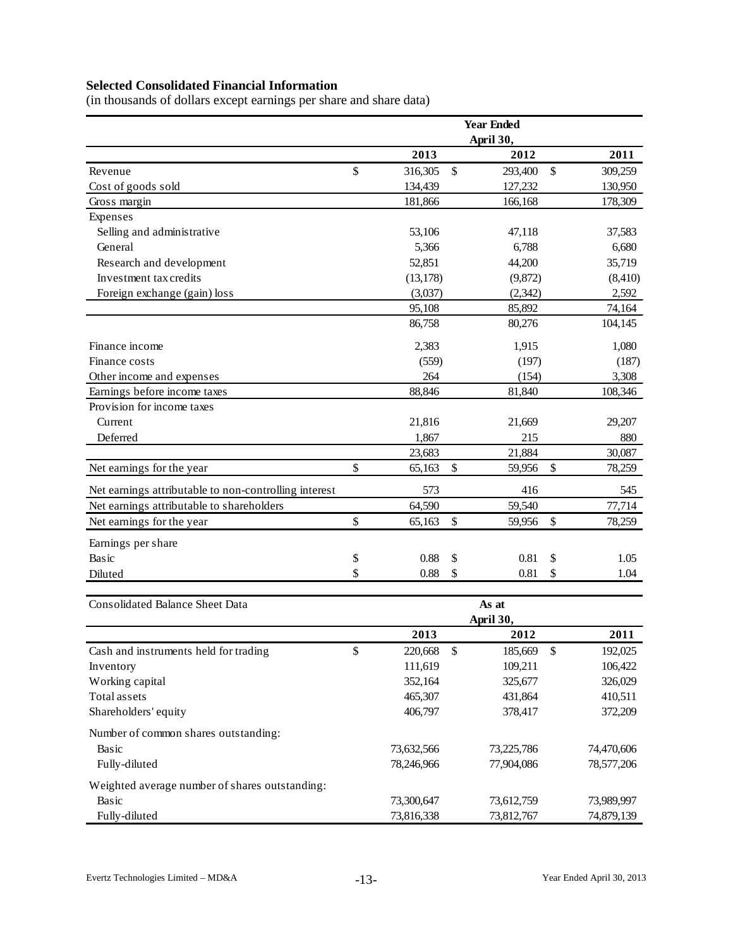# **Selected Consolidated Financial Information**

(in thousands of dollars except earnings per share and share data)

|                                                       |                    | <b>Year Ended</b>  |                    |
|-------------------------------------------------------|--------------------|--------------------|--------------------|
|                                                       |                    | April 30,          |                    |
|                                                       | 2013               | 2012               | 2011               |
| Revenue                                               | \$<br>316,305      | \$<br>293,400      | \$<br>309,259      |
| Cost of goods sold                                    | 134,439            | 127,232            | 130,950            |
| Gross margin                                          | 181,866            | 166,168            | 178,309            |
| Expenses                                              |                    |                    |                    |
| Selling and administrative                            | 53,106             | 47,118             | 37,583             |
| General                                               | 5,366              | 6,788              | 6,680              |
| Research and development                              | 52,851             | 44,200             | 35,719             |
| Investment tax credits                                | (13, 178)          | (9,872)            | (8, 410)           |
| Foreign exchange (gain) loss                          | (3,037)            | (2, 342)           | 2,592              |
|                                                       | 95,108             | 85,892             | 74,164             |
|                                                       | 86,758             | 80,276             | 104,145            |
| Finance income                                        | 2,383              | 1,915              | 1,080              |
| Finance costs                                         | (559)              | (197)              | (187)              |
| Other income and expenses                             | 264                | (154)              | 3,308              |
| Earnings before income taxes                          | 88,846             | 81,840             | 108,346            |
| Provision for income taxes                            |                    |                    |                    |
| Current                                               | 21,816             | 21,669             | 29,207             |
| Deferred                                              | 1,867              | 215                | 880                |
|                                                       | 23,683             | 21,884             | 30,087             |
| Net earnings for the year                             | \$<br>65,163       | \$<br>59,956       | \$<br>78,259       |
| Net earnings attributable to non-controlling interest | 573                | 416                | 545                |
| Net earnings attributable to shareholders             | 64,590             | 59,540             | 77,714             |
| Net earnings for the year                             | \$<br>65,163       | \$<br>59,956       | \$<br>78,259       |
| Earnings per share                                    |                    |                    |                    |
| Basic                                                 | \$<br>0.88         | \$<br>0.81         | \$<br>1.05         |
| Diluted                                               | \$<br>0.88         | \$<br>0.81         | \$<br>1.04         |
|                                                       |                    |                    |                    |
| <b>Consolidated Balance Sheet Data</b>                |                    | As at              |                    |
|                                                       |                    | April 30,          |                    |
|                                                       | 2013               | 2012               | 2011               |
| Cash and instruments held for trading                 | \$<br>220,668      | \$<br>185,669      | \$<br>192,025      |
| Inventory                                             | 111,619<br>352,164 | 109,211<br>325,677 | 106,422<br>326,029 |
| Working capital<br>Total assets                       | 465,307            | 431,864            | 410,511            |
| Shareholders' equity                                  | 406,797            | 378,417            | 372,209            |
|                                                       |                    |                    |                    |
| Number of common shares outstanding:                  |                    |                    |                    |
| Basic                                                 | 73,632,566         | 73,225,786         | 74,470,606         |
| Fully-diluted                                         | 78,246,966         | 77,904,086         | 78,577,206         |
| Weighted average number of shares outstanding:        |                    |                    |                    |
| Basic                                                 | 73,300,647         | 73,612,759         | 73,989,997         |
| Fully-diluted                                         | 73,816,338         | 73,812,767         | 74,879,139         |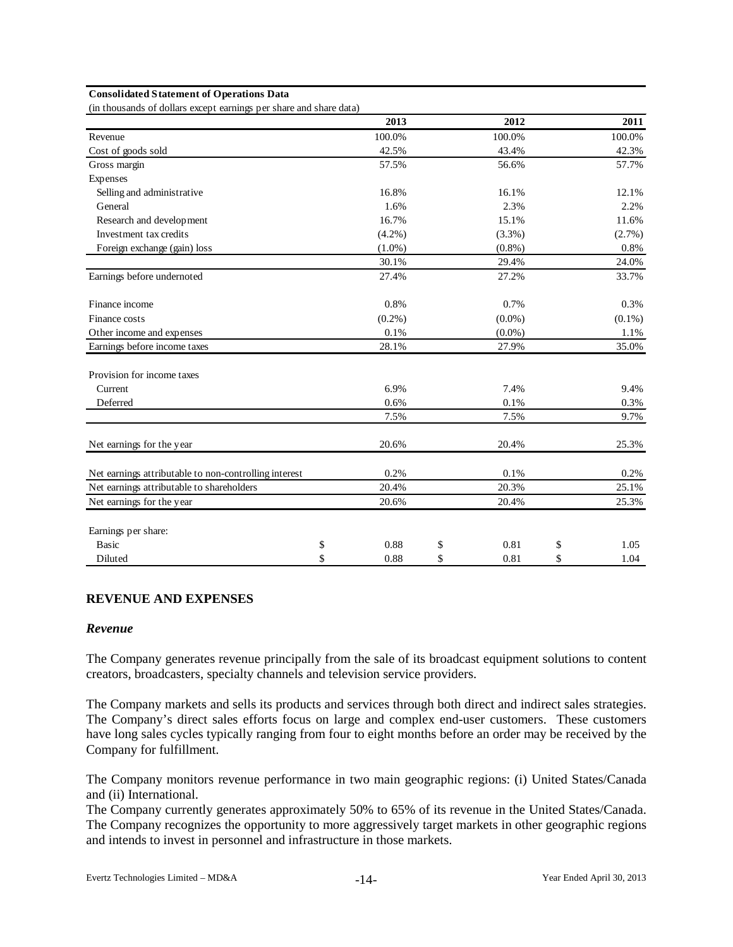#### **Consolidated Statement of Operations Data**

(in thousands of dollars except earnings per share and share data)

|                                                       | 2013       | 2012       | 2011       |
|-------------------------------------------------------|------------|------------|------------|
| Revenue                                               | 100.0%     | 100.0%     | 100.0%     |
| Cost of goods sold                                    | 42.5%      | 43.4%      | 42.3%      |
| Gross margin                                          | 57.5%      | 56.6%      | 57.7%      |
| Expenses                                              |            |            |            |
| Selling and administrative                            | 16.8%      | 16.1%      | 12.1%      |
| General                                               | 1.6%       | 2.3%       | 2.2%       |
| Research and development                              | 16.7%      | 15.1%      | 11.6%      |
| Investment tax credits                                | $(4.2\%)$  | $(3.3\%)$  | $(2.7\%)$  |
| Foreign exchange (gain) loss                          | $(1.0\%)$  | $(0.8\%)$  | $0.8\%$    |
|                                                       | 30.1%      | 29.4%      | 24.0%      |
| Earnings before undernoted                            | 27.4%      | 27.2%      | 33.7%      |
| Finance income                                        | 0.8%       | 0.7%       | 0.3%       |
| Finance costs                                         | $(0.2\%)$  | $(0.0\%)$  | $(0.1\%)$  |
| Other income and expenses                             | 0.1%       | $(0.0\%)$  | 1.1%       |
| Earnings before income taxes                          | 28.1%      | 27.9%      | 35.0%      |
| Provision for income taxes                            |            |            |            |
| Current                                               | 6.9%       | 7.4%       | 9.4%       |
| Deferred                                              | 0.6%       | 0.1%       | 0.3%       |
|                                                       | 7.5%       | 7.5%       | 9.7%       |
| Net earnings for the year                             | 20.6%      | 20.4%      | 25.3%      |
| Net earnings attributable to non-controlling interest | 0.2%       | 0.1%       | 0.2%       |
| Net earnings attributable to shareholders             | 20.4%      | 20.3%      | 25.1%      |
| Net earnings for the year                             | 20.6%      | 20.4%      | 25.3%      |
| Earnings per share:                                   |            |            |            |
| <b>Basic</b>                                          | \$<br>0.88 | \$<br>0.81 | \$<br>1.05 |
| Diluted                                               | \$<br>0.88 | \$<br>0.81 | \$<br>1.04 |

# **REVENUE AND EXPENSES**

#### *Revenue*

The Company generates revenue principally from the sale of its broadcast equipment solutions to content creators, broadcasters, specialty channels and television service providers.

The Company markets and sells its products and services through both direct and indirect sales strategies. The Company's direct sales efforts focus on large and complex end-user customers. These customers have long sales cycles typically ranging from four to eight months before an order may be received by the Company for fulfillment.

The Company monitors revenue performance in two main geographic regions: (i) United States/Canada and (ii) International.

The Company currently generates approximately 50% to 65% of its revenue in the United States/Canada. The Company recognizes the opportunity to more aggressively target markets in other geographic regions and intends to invest in personnel and infrastructure in those markets.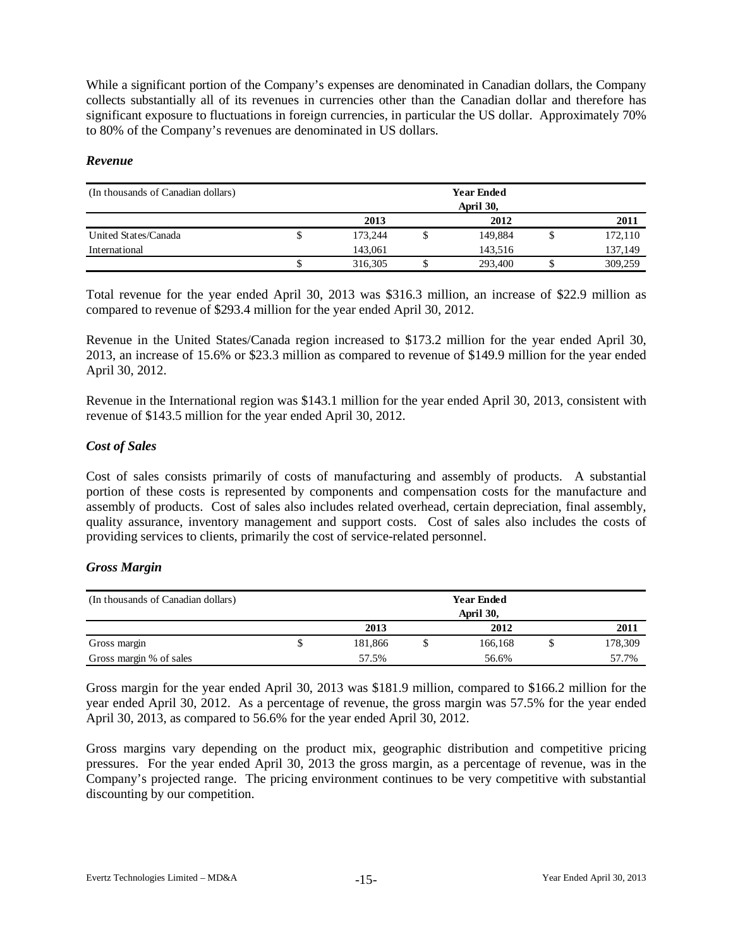While a significant portion of the Company's expenses are denominated in Canadian dollars, the Company collects substantially all of its revenues in currencies other than the Canadian dollar and therefore has significant exposure to fluctuations in foreign currencies, in particular the US dollar. Approximately 70% to 80% of the Company's revenues are denominated in US dollars.

#### *Revenue*

| (In thousands of Canadian dollars) |   |         | <b>Year Ended</b><br>April 30, |         |
|------------------------------------|---|---------|--------------------------------|---------|
|                                    |   | 2013    | 2012                           | 2011    |
| United States/Canada               | J | 173.244 | 149,884                        | 172,110 |
| International                      |   | 143,061 | 143.516                        | 137,149 |
|                                    |   | 316,305 | 293,400                        | 309,259 |

Total revenue for the year ended April 30, 2013 was \$316.3 million, an increase of \$22.9 million as compared to revenue of \$293.4 million for the year ended April 30, 2012.

Revenue in the United States/Canada region increased to \$173.2 million for the year ended April 30, 2013, an increase of 15.6% or \$23.3 million as compared to revenue of \$149.9 million for the year ended April 30, 2012.

Revenue in the International region was \$143.1 million for the year ended April 30, 2013, consistent with revenue of \$143.5 million for the year ended April 30, 2012.

## *Cost of Sales*

Cost of sales consists primarily of costs of manufacturing and assembly of products. A substantial portion of these costs is represented by components and compensation costs for the manufacture and assembly of products. Cost of sales also includes related overhead, certain depreciation, final assembly, quality assurance, inventory management and support costs. Cost of sales also includes the costs of providing services to clients, primarily the cost of service-related personnel.

#### *Gross Margin*

| (In thousands of Canadian dollars) |              | <b>Year Ended</b> |           |         |  |         |  |  |  |  |  |
|------------------------------------|--------------|-------------------|-----------|---------|--|---------|--|--|--|--|--|
|                                    |              |                   | April 30, |         |  |         |  |  |  |  |  |
|                                    | 2012<br>2013 |                   |           |         |  | 2011    |  |  |  |  |  |
| Gross margin                       | J            | 181,866           |           | 166.168 |  | 178,309 |  |  |  |  |  |
| Gross margin % of sales            |              | 57.5%             |           | 56.6%   |  | 57.7%   |  |  |  |  |  |

Gross margin for the year ended April 30, 2013 was \$181.9 million, compared to \$166.2 million for the year ended April 30, 2012. As a percentage of revenue, the gross margin was 57.5% for the year ended April 30, 2013, as compared to 56.6% for the year ended April 30, 2012.

Gross margins vary depending on the product mix, geographic distribution and competitive pricing pressures. For the year ended April 30, 2013 the gross margin, as a percentage of revenue, was in the Company's projected range. The pricing environment continues to be very competitive with substantial discounting by our competition.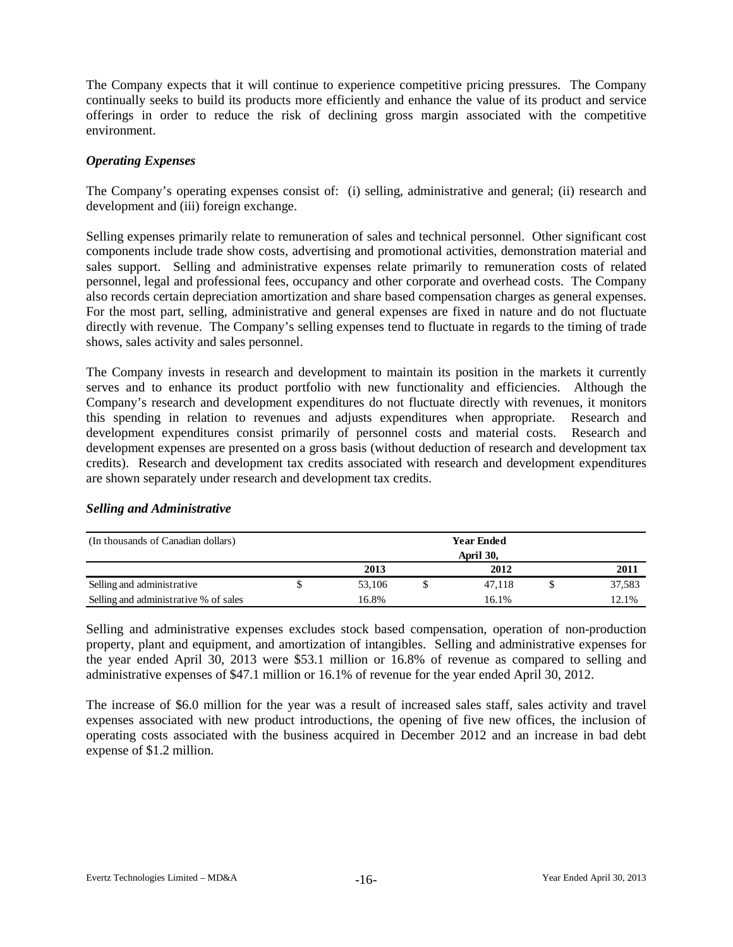The Company expects that it will continue to experience competitive pricing pressures. The Company continually seeks to build its products more efficiently and enhance the value of its product and service offerings in order to reduce the risk of declining gross margin associated with the competitive environment.

## *Operating Expenses*

The Company's operating expenses consist of: (i) selling, administrative and general; (ii) research and development and (iii) foreign exchange.

Selling expenses primarily relate to remuneration of sales and technical personnel. Other significant cost components include trade show costs, advertising and promotional activities, demonstration material and sales support. Selling and administrative expenses relate primarily to remuneration costs of related personnel, legal and professional fees, occupancy and other corporate and overhead costs. The Company also records certain depreciation amortization and share based compensation charges as general expenses. For the most part, selling, administrative and general expenses are fixed in nature and do not fluctuate directly with revenue. The Company's selling expenses tend to fluctuate in regards to the timing of trade shows, sales activity and sales personnel.

The Company invests in research and development to maintain its position in the markets it currently serves and to enhance its product portfolio with new functionality and efficiencies. Although the Company's research and development expenditures do not fluctuate directly with revenues, it monitors this spending in relation to revenues and adjusts expenditures when appropriate. Research and development expenditures consist primarily of personnel costs and material costs. Research and development expenses are presented on a gross basis (without deduction of research and development tax credits). Research and development tax credits associated with research and development expenditures are shown separately under research and development tax credits.

#### (In thousands of Canadian dollars) **2013 2012 2011** Selling and administrative Selling and administrative % of sales 16.8% 16.1% 12.1% 12.1%  **Year Ended April 30,** \$ 53,106 \$ 47,118 \$ 37,583

# *Selling and Administrative*

Selling and administrative expenses excludes stock based compensation, operation of non-production property, plant and equipment, and amortization of intangibles. Selling and administrative expenses for the year ended April 30, 2013 were \$53.1 million or 16.8% of revenue as compared to selling and administrative expenses of \$47.1 million or 16.1% of revenue for the year ended April 30, 2012.

The increase of \$6.0 million for the year was a result of increased sales staff, sales activity and travel expenses associated with new product introductions, the opening of five new offices, the inclusion of operating costs associated with the business acquired in December 2012 and an increase in bad debt expense of \$1.2 million.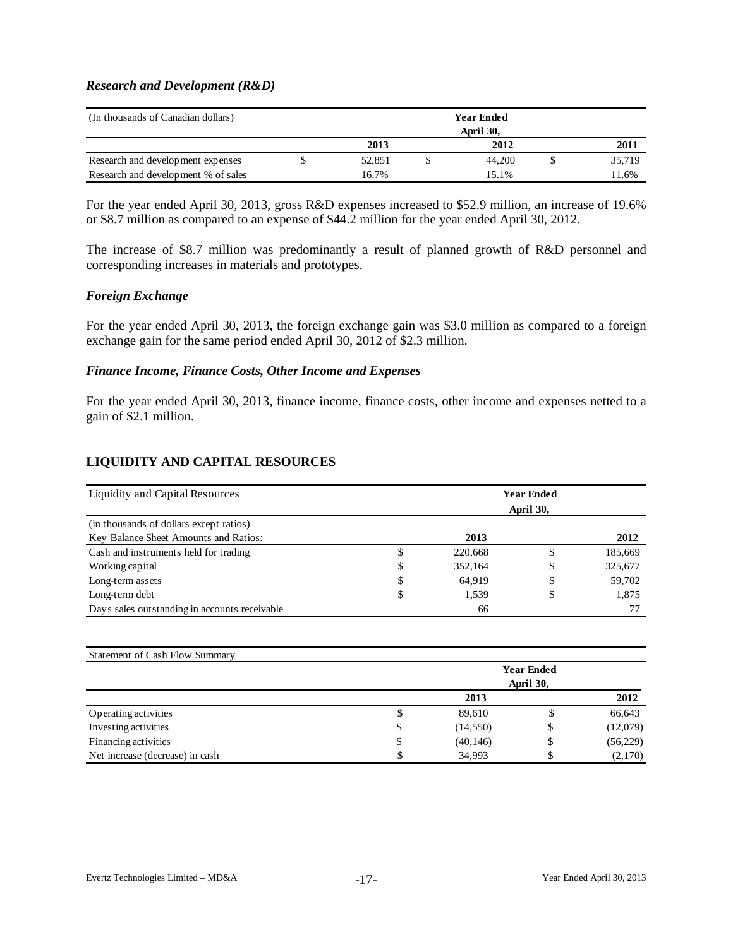#### *Research and Development (R&D)*

| (In thousands of Canadian dollars)  | <b>Year Ended</b> |  |           |  |        |  |  |  |  |  |
|-------------------------------------|-------------------|--|-----------|--|--------|--|--|--|--|--|
|                                     |                   |  | April 30, |  |        |  |  |  |  |  |
|                                     | 2013              |  | 2012      |  | 2011   |  |  |  |  |  |
| Research and development expenses   | 52.851            |  | 44,200    |  | 35.719 |  |  |  |  |  |
| Research and development % of sales | 16.7%             |  | 15.1%     |  | 11.6%  |  |  |  |  |  |

For the year ended April 30, 2013, gross R&D expenses increased to \$52.9 million, an increase of 19.6% or \$8.7 million as compared to an expense of \$44.2 million for the year ended April 30, 2012.

The increase of \$8.7 million was predominantly a result of planned growth of R&D personnel and corresponding increases in materials and prototypes.

#### *Foreign Exchange*

For the year ended April 30, 2013, the foreign exchange gain was \$3.0 million as compared to a foreign exchange gain for the same period ended April 30, 2012 of \$2.3 million.

#### *Finance Income, Finance Costs, Other Income and Expenses*

For the year ended April 30, 2013, finance income, finance costs, other income and expenses netted to a gain of \$2.1 million.

#### **LIQUIDITY AND CAPITAL RESOURCES**

| Liquidity and Capital Resources               | <b>Year Ended</b><br>April 30, |         |    |         |  |  |  |  |  |  |
|-----------------------------------------------|--------------------------------|---------|----|---------|--|--|--|--|--|--|
| (in thousands of dollars except ratios)       |                                |         |    |         |  |  |  |  |  |  |
| Key Balance Sheet Amounts and Ratios:         |                                | 2013    |    | 2012    |  |  |  |  |  |  |
| Cash and instruments held for trading         |                                | 220,668 |    | 185,669 |  |  |  |  |  |  |
| Working capital                               | \$                             | 352.164 | D  | 325,677 |  |  |  |  |  |  |
| Long-term assets                              | \$                             | 64.919  | \$ | 59,702  |  |  |  |  |  |  |
| Long-term debt                                | \$                             | 1,539   | \$ | 1,875   |  |  |  |  |  |  |
| Days sales outstanding in accounts receivable |                                | 66      |    |         |  |  |  |  |  |  |

| Statement of Cash Flow Summary  |    |                   |           |          |  |  |  |  |  |  |  |
|---------------------------------|----|-------------------|-----------|----------|--|--|--|--|--|--|--|
|                                 |    | <b>Year Ended</b> |           |          |  |  |  |  |  |  |  |
|                                 |    |                   | April 30, |          |  |  |  |  |  |  |  |
|                                 |    | 2012              |           |          |  |  |  |  |  |  |  |
| Operating activities            | Φ  | 89,610            | Φ         | 66,643   |  |  |  |  |  |  |  |
| Investing activities            | Φ  | (14,550)          | \$        | (12,079) |  |  |  |  |  |  |  |
| Financing activities            | \$ | (40, 146)         | \$        | (56,229) |  |  |  |  |  |  |  |
| Net increase (decrease) in cash |    | 34,993            | ъ         | (2,170)  |  |  |  |  |  |  |  |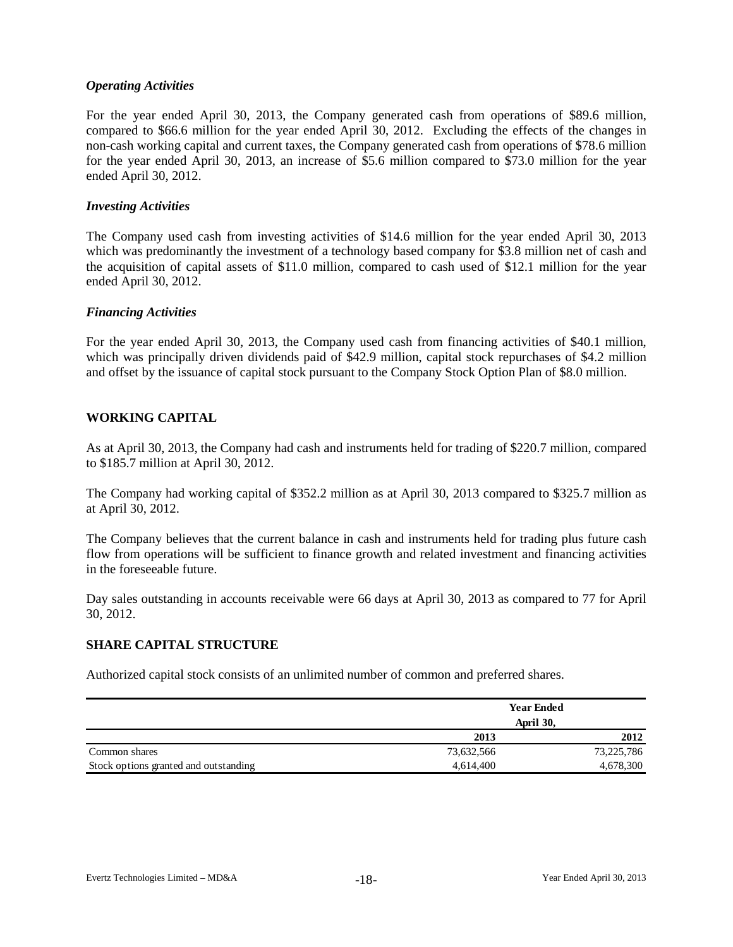## *Operating Activities*

For the year ended April 30, 2013, the Company generated cash from operations of \$89.6 million, compared to \$66.6 million for the year ended April 30, 2012. Excluding the effects of the changes in non-cash working capital and current taxes, the Company generated cash from operations of \$78.6 million for the year ended April 30, 2013, an increase of \$5.6 million compared to \$73.0 million for the year ended April 30, 2012.

#### *Investing Activities*

The Company used cash from investing activities of \$14.6 million for the year ended April 30, 2013 which was predominantly the investment of a technology based company for \$3.8 million net of cash and the acquisition of capital assets of \$11.0 million, compared to cash used of \$12.1 million for the year ended April 30, 2012.

#### *Financing Activities*

For the year ended April 30, 2013, the Company used cash from financing activities of \$40.1 million, which was principally driven dividends paid of \$42.9 million, capital stock repurchases of \$4.2 million and offset by the issuance of capital stock pursuant to the Company Stock Option Plan of \$8.0 million.

# **WORKING CAPITAL**

As at April 30, 2013, the Company had cash and instruments held for trading of \$220.7 million, compared to \$185.7 million at April 30, 2012.

The Company had working capital of \$352.2 million as at April 30, 2013 compared to \$325.7 million as at April 30, 2012.

The Company believes that the current balance in cash and instruments held for trading plus future cash flow from operations will be sufficient to finance growth and related investment and financing activities in the foreseeable future.

Day sales outstanding in accounts receivable were 66 days at April 30, 2013 as compared to 77 for April 30, 2012.

# **SHARE CAPITAL STRUCTURE**

Authorized capital stock consists of an unlimited number of common and preferred shares.

|                                       |            | <b>Year Ended</b> |
|---------------------------------------|------------|-------------------|
|                                       |            | April 30,         |
|                                       | 2013       | 2012              |
| Common shares                         | 73,632,566 | 73,225,786        |
| Stock options granted and outstanding | 4,614,400  | 4,678,300         |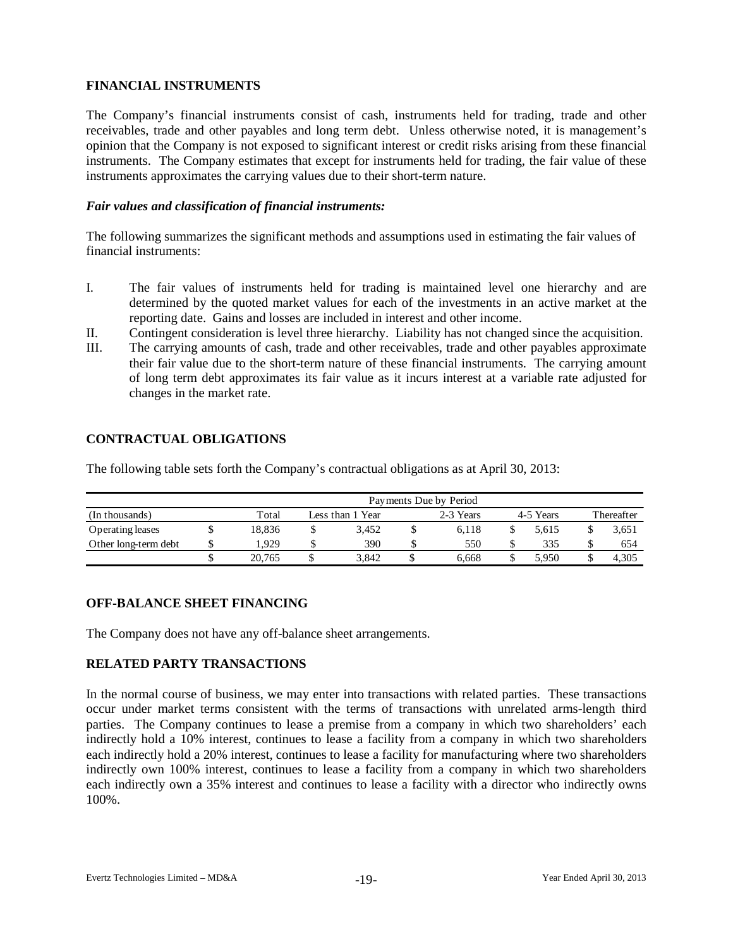# **FINANCIAL INSTRUMENTS**

The Company's financial instruments consist of cash, instruments held for trading, trade and other receivables, trade and other payables and long term debt. Unless otherwise noted, it is management's opinion that the Company is not exposed to significant interest or credit risks arising from these financial instruments. The Company estimates that except for instruments held for trading, the fair value of these instruments approximates the carrying values due to their short-term nature.

## *Fair values and classification of financial instruments:*

The following summarizes the significant methods and assumptions used in estimating the fair values of financial instruments:

- I. The fair values of instruments held for trading is maintained level one hierarchy and are determined by the quoted market values for each of the investments in an active market at the reporting date. Gains and losses are included in interest and other income.
- II. Contingent consideration is level three hierarchy. Liability has not changed since the acquisition.
- III. The carrying amounts of cash, trade and other receivables, trade and other payables approximate their fair value due to the short-term nature of these financial instruments. The carrying amount of long term debt approximates its fair value as it incurs interest at a variable rate adjusted for changes in the market rate.

#### **CONTRACTUAL OBLIGATIONS**

The following table sets forth the Company's contractual obligations as at April 30, 2013:

|                      |   | Payments Due by Period |  |                  |  |           |  |           |            |       |  |  |  |  |
|----------------------|---|------------------------|--|------------------|--|-----------|--|-----------|------------|-------|--|--|--|--|
| (In thousands)       |   | Total                  |  | Less than 1 Year |  | 2-3 Years |  | 4-5 Years | Thereafter |       |  |  |  |  |
| Operating leases     |   | 18.836                 |  | 3.452            |  | 6.118     |  | 5.615     |            | 3,651 |  |  |  |  |
| Other long-term debt | ¢ | .929                   |  | 390              |  | 550       |  | 335       |            | 654   |  |  |  |  |
|                      |   | 20,765                 |  | 3.842            |  | 6.668     |  | 5.950     |            | 4.305 |  |  |  |  |

# **OFF-BALANCE SHEET FINANCING**

The Company does not have any off-balance sheet arrangements.

# **RELATED PARTY TRANSACTIONS**

In the normal course of business, we may enter into transactions with related parties. These transactions occur under market terms consistent with the terms of transactions with unrelated arms-length third parties. The Company continues to lease a premise from a company in which two shareholders' each indirectly hold a 10% interest, continues to lease a facility from a company in which two shareholders each indirectly hold a 20% interest, continues to lease a facility for manufacturing where two shareholders indirectly own 100% interest, continues to lease a facility from a company in which two shareholders each indirectly own a 35% interest and continues to lease a facility with a director who indirectly owns 100%.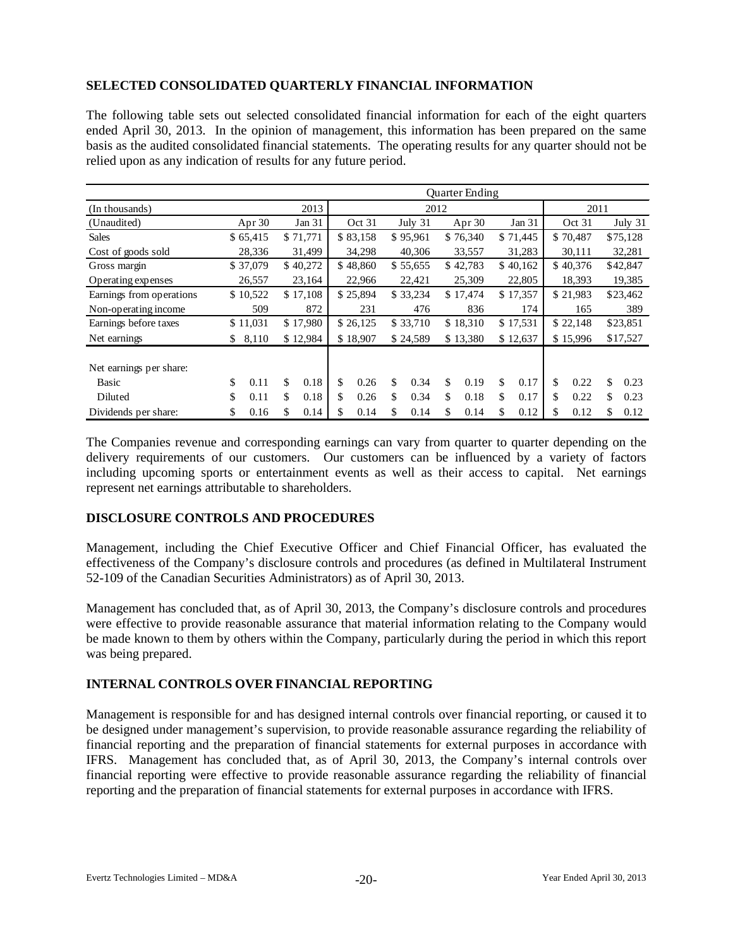# **SELECTED CONSOLIDATED QUARTERLY FINANCIAL INFORMATION**

The following table sets out selected consolidated financial information for each of the eight quarters ended April 30, 2013. In the opinion of management, this information has been prepared on the same basis as the audited consolidated financial statements. The operating results for any quarter should not be relied upon as any indication of results for any future period.

|                                  |             |            | <b>Ouarter Ending</b> |                      |          |          |          |          |          |          |          |          |          |          |
|----------------------------------|-------------|------------|-----------------------|----------------------|----------|----------|----------|----------|----------|----------|----------|----------|----------|----------|
| (In thousands)                   |             | 2013       |                       | 2012                 |          |          |          |          |          |          | 2011     |          |          |          |
| (Unaudited)                      | Apr $30$    | Jan $31$   |                       | Oct 31               |          | July 31  |          | Apr $30$ |          | Jan 31   |          | Oct 31   |          | July 31  |
| <b>Sales</b>                     | \$65,415    | \$71,771   |                       | \$83,158             |          | \$95,961 |          | \$76,340 |          | \$71,445 |          | \$70,487 |          | \$75,128 |
| Cost of goods sold               | 28,336      | 31,499     |                       | 34,298               |          | 40,306   |          | 33,557   |          | 31,283   |          | 30,111   |          | 32,281   |
| Gross margin                     | \$37,079    | \$40,272   |                       | \$48,860             |          | \$55,655 |          | \$42,783 |          | \$40,162 |          | \$40,376 |          | \$42,847 |
| Operating expenses               | 26,557      | 23,164     |                       | 22,966               |          | 22,421   |          | 25,309   |          | 22,805   |          | 18,393   | 19,385   |          |
| Earnings from operations         | \$10,522    | \$17,108   |                       | \$25,894<br>\$33,234 |          | \$17,474 | \$17,357 |          | \$21,983 |          | \$23,462 |          |          |          |
| Non-operating income             | 509         | 872        | 231<br>476            |                      |          | 836      |          | 174      | 165      |          | 389      |          |          |          |
| Earnings before taxes            | \$11,031    | \$17,980   | \$26,125              |                      | \$33,710 | \$18,310 |          | \$17,531 |          | \$22,148 |          | \$23,851 |          |          |
| Net earnings                     | \$<br>8,110 | \$12,984   |                       | \$18,907             |          | \$24,589 |          | \$13,380 |          | \$12,637 |          | \$15,996 | \$17,527 |          |
| Net earnings per share:<br>Basic | \$<br>0.11  | \$<br>0.18 | \$                    | 0.26                 | \$.      | 0.34     | \$       | 0.19     | \$       | 0.17     | \$       | 0.22     | \$       | 0.23     |
| Diluted                          | \$<br>0.11  | \$<br>0.18 | \$                    | 0.26                 | S.       | 0.34     | \$       | 0.18     | \$.      | 0.17     | \$       | 0.22     | \$       | 0.23     |
| Dividends per share:             | \$<br>0.16  | \$<br>0.14 | S                     | 0.14                 | S.       | 0.14     | \$       | 0.14     | \$       | 0.12     | \$       | 0.12     | \$       | 0.12     |

The Companies revenue and corresponding earnings can vary from quarter to quarter depending on the delivery requirements of our customers. Our customers can be influenced by a variety of factors including upcoming sports or entertainment events as well as their access to capital. Net earnings represent net earnings attributable to shareholders.

# **DISCLOSURE CONTROLS AND PROCEDURES**

Management, including the Chief Executive Officer and Chief Financial Officer, has evaluated the effectiveness of the Company's disclosure controls and procedures (as defined in Multilateral Instrument 52-109 of the Canadian Securities Administrators) as of April 30, 2013.

Management has concluded that, as of April 30, 2013, the Company's disclosure controls and procedures were effective to provide reasonable assurance that material information relating to the Company would be made known to them by others within the Company, particularly during the period in which this report was being prepared.

# **INTERNAL CONTROLS OVER FINANCIAL REPORTING**

Management is responsible for and has designed internal controls over financial reporting, or caused it to be designed under management's supervision, to provide reasonable assurance regarding the reliability of financial reporting and the preparation of financial statements for external purposes in accordance with IFRS. Management has concluded that, as of April 30, 2013, the Company's internal controls over financial reporting were effective to provide reasonable assurance regarding the reliability of financial reporting and the preparation of financial statements for external purposes in accordance with IFRS.